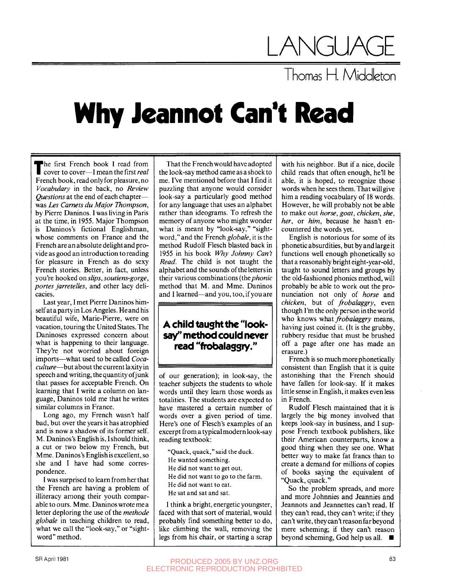## LANGUA

Thomas Η. Middleton

## **Why Jeannot Can't Read**

The first French book I read from<br>cover to cover—I mean the first real cover to cover—I mean the first *real*  French book, read only for pleasure, no *Vocabulary* in the back, no *Review Questions* at the end of each chapter was *Les Camets du Major Thompson,*  by Pierre Daninos. I was living in Paris at the time, in 1955. Major Thompson is Daninos's fictional Englishman, whose comments on France and the French are an absolute delight and provide as good an introduction to reading for pleasure in French as do sexy French stories. Better, in fact, unless you're hooked *on slips, soutiens-gorge, partes jarretelles,* and other lacy delicacies.

Last year, I met Pierre Daninos himself at a party in Los Angeles. He and his beautiful wife, Marie-Pierre, were on vacation, touring the United States. The Daninoses expressed concern about what is happening to their language. They're not worried about foreign imports—what used to be called *Cocaculture*—but about the current laxity in speech and writing, the quantity of junk that passes for acceptable French. On learning that I write a column on language, Daninos told me that he writes similar columns in France.

Long ago, my French wasn't half bad, but over the years it has atrophied and is now a shadow of its former self. M. Daninos's English is, I should think, a cut or two below my French, but Mme. Daninos's English is excellent, so she and I have had some correspondence.

I was surprised to learn from her that the French are having a problem of illiteracy among their youth comparable to ours. Mme. Daninos wrote me a letter deploring the use of the *methode globale* in teaching children to read, what we call the "look-say," or "sightword" method.

That the French would have adopted the look-say method came as a shock to me. I've mentioned before that I find it puzzling that anyone would consider look-say a particularly good method for any language that uses an alphabet rather than ideograms. To refresh the memory of anyone who might wonder what is meant by "look-say," "sightword," and the French *globale,* it is the method Rudolf Flesch blasted back in 1955 in his book *Why Johnny Can't Read.* The child is not taught the alphabet and the sounds of the letters in their various combinations *{Ih^phonic*  method that M. and Mme. Daninos and I learned—and you, too, if you are

## A child taught the "look**say" method could never read "frobalassry."**

of our generation); in look-say, the teacher subjects the students to whole words until they learn those words as totalities. The students are expected to have mastered a certain number of words over a given period of time. Here's one of Flesch's examples of an excerpt from a typical modern look-say reading textbook:

"Quack, quack," said the duck. He wanted something. He did not want to get out. He did not want to go to the farm. He did not want to eat. He sat and sat and sat.

I think a bright, energetic youngster, faced with that sort of material, would probably find something better to do, like climbing the wall, removing the legs from his chair, or starting a scrap

with his neighbor. But if a nice, docile child reads that often enough, he'll be able, it is hoped, to recognize those words when he sees them. That will give him a reading vocabulary of 18 words. However, he will probably not be able to make out *horse, goat, chicken, she, her,* or *him,* because he hasn't encountered the words yet.

English is notorious for some of its phonetic absurdities, but by and large it functions well enough phonetically so that a reasonably bright eight-year-old, taught to sound letters and groups by the old-fashioned phonics method, will probably be able to work out the pronunciation not only of *horse* and *chicken,* but of *frobalaggry,* even though I'm the only person in the world who knows what *frobalaggry* means, having just coined it. (It is the grubby, rubbery residue that must be brushed off a page after one has made an erasure.)

French is so much more phonetically consistent than English that it is quite astonishing that the French should have fallen for look-say. If it makes little sense in English, it makes even less in French.

Rudolf Flesch maintained that it is largely the big money involved that keeps look-say in business, and I suppose French textbook publishers, like their American counterparts, know a good thing when they see one. What better way to make fat francs than to create a demand for millions of copies of books saying the equivalent of "Quack, quack."

So the problem spreads, and more and more Johnnies and Jeannies and Jeannots and Jeannettes can't read. If they can't read, they can't write; if they can't write, they can't reason far beyond mere scheming; if they can't reason beyond scheming, God help us all.  $\blacksquare$